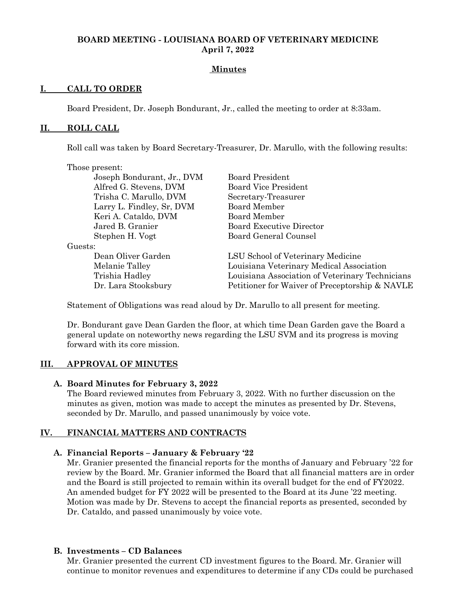### **BOARD MEETING - LOUISIANA BOARD OF VETERINARY MEDICINE April 7, 2022**

### **Minutes**

### **I. CALL TO ORDER**

Board President, Dr. Joseph Bondurant, Jr., called the meeting to order at 8:33am.

#### **II. ROLL CALL**

Roll call was taken by Board Secretary-Treasurer, Dr. Marullo, with the following results:

| Those present:             |                                                 |
|----------------------------|-------------------------------------------------|
| Joseph Bondurant, Jr., DVM | <b>Board President</b>                          |
| Alfred G. Stevens, DVM     | <b>Board Vice President</b>                     |
| Trisha C. Marullo, DVM     | Secretary-Treasurer                             |
| Larry L. Findley, Sr, DVM  | Board Member                                    |
| Keri A. Cataldo, DVM       | Board Member                                    |
| Jared B. Granier           | <b>Board Executive Director</b>                 |
| Stephen H. Vogt            | Board General Counsel                           |
| Guests:                    |                                                 |
| Dean Oliver Garden         | LSU School of Veterinary Medicine               |
| Melanie Talley             | Louisiana Veterinary Medical Association        |
| Trishia Hadley             | Louisiana Association of Veterinary Technicians |
| Dr. Lara Stooksbury        | Petitioner for Waiver of Preceptorship & NAVLE  |
|                            |                                                 |

Statement of Obligations was read aloud by Dr. Marullo to all present for meeting.

Dr. Bondurant gave Dean Garden the floor, at which time Dean Garden gave the Board a general update on noteworthy news regarding the LSU SVM and its progress is moving forward with its core mission.

#### **III. APPROVAL OF MINUTES**

#### **A. Board Minutes for February 3, 2022**

The Board reviewed minutes from February 3, 2022. With no further discussion on the minutes as given, motion was made to accept the minutes as presented by Dr. Stevens, seconded by Dr. Marullo, and passed unanimously by voice vote.

#### **IV. FINANCIAL MATTERS AND CONTRACTS**

#### **A. Financial Reports – January & February '22**

Mr. Granier presented the financial reports for the months of January and February '22 for review by the Board. Mr. Granier informed the Board that all financial matters are in order and the Board is still projected to remain within its overall budget for the end of FY2022. An amended budget for FY 2022 will be presented to the Board at its June '22 meeting. Motion was made by Dr. Stevens to accept the financial reports as presented, seconded by Dr. Cataldo, and passed unanimously by voice vote.

#### **B. Investments – CD Balances**

Mr. Granier presented the current CD investment figures to the Board. Mr. Granier will continue to monitor revenues and expenditures to determine if any CDs could be purchased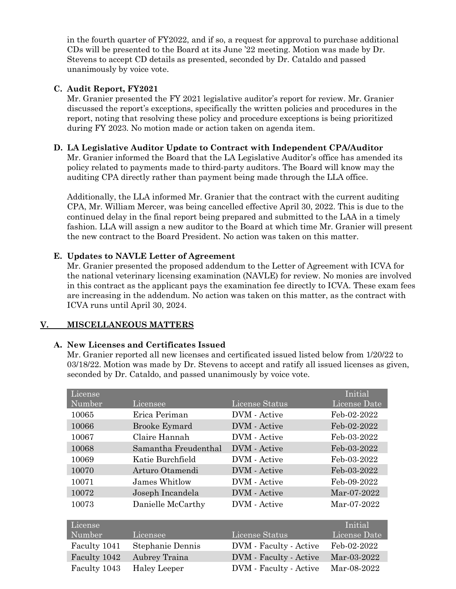in the fourth quarter of FY2022, and if so, a request for approval to purchase additional CDs will be presented to the Board at its June '22 meeting. Motion was made by Dr. Stevens to accept CD details as presented, seconded by Dr. Cataldo and passed unanimously by voice vote.

### **C. Audit Report, FY2021**

Mr. Granier presented the FY 2021 legislative auditor's report for review. Mr. Granier discussed the report's exceptions, specifically the written policies and procedures in the report, noting that resolving these policy and procedure exceptions is being prioritized during FY 2023. No motion made or action taken on agenda item.

#### **D. LA Legislative Auditor Update to Contract with Independent CPA/Auditor**

Mr. Granier informed the Board that the LA Legislative Auditor's office has amended its policy related to payments made to third-party auditors. The Board will know may the auditing CPA directly rather than payment being made through the LLA office.

Additionally, the LLA informed Mr. Granier that the contract with the current auditing CPA, Mr. William Mercer, was being cancelled effective April 30, 2022. This is due to the continued delay in the final report being prepared and submitted to the LAA in a timely fashion. LLA will assign a new auditor to the Board at which time Mr. Granier will present the new contract to the Board President. No action was taken on this matter.

### **E. Updates to NAVLE Letter of Agreement**

Mr. Granier presented the proposed addendum to the Letter of Agreement with ICVA for the national veterinary licensing examination (NAVLE) for review. No monies are involved in this contract as the applicant pays the examination fee directly to ICVA. These exam fees are increasing in the addendum. No action was taken on this matter, as the contract with ICVA runs until April 30, 2024.

### **V. MISCELLANEOUS MATTERS**

### **A. New Licenses and Certificates Issued**

Mr. Granier reported all new licenses and certificated issued listed below from 1/20/22 to 03/18/22. Motion was made by Dr. Stevens to accept and ratify all issued licenses as given, seconded by Dr. Cataldo, and passed unanimously by voice vote.

| License<br>Number | Licensee             | License Status         | Initial<br>License Date |
|-------------------|----------------------|------------------------|-------------------------|
| 10065             | Erica Periman        | DVM - Active           | Feb-02-2022             |
| 10066             | <b>Brooke Eymard</b> | DVM - Active           | Feb-02-2022             |
| 10067             | Claire Hannah        | DVM - Active           | Feb-03-2022             |
| 10068             | Samantha Freudenthal | DVM - Active           | Feb-03-2022             |
| 10069             | Katie Burchfield     | DVM - Active           | Feb-03-2022             |
| 10070             | Arturo Otamendi      | DVM - Active           | Feb-03-2022             |
| 10071             | James Whitlow        | DVM - Active           | Feb-09-2022             |
| 10072             | Joseph Incandela     | DVM - Active           | Mar-07-2022             |
| 10073             | Danielle McCarthy    | DVM - Active           | Mar-07-2022             |
|                   |                      |                        |                         |
| License           |                      |                        | Initial                 |
| Number            | Licensee             | License Status         | License Date            |
| Faculty 1041      | Stephanie Dennis     | DVM - Faculty - Active | Feb-02-2022             |
| Faculty 1042      | Aubrey Traina        | DVM - Faculty - Active | Mar-03-2022             |
| Faculty 1043      | <b>Haley Leeper</b>  | DVM - Faculty - Active | Mar-08-2022             |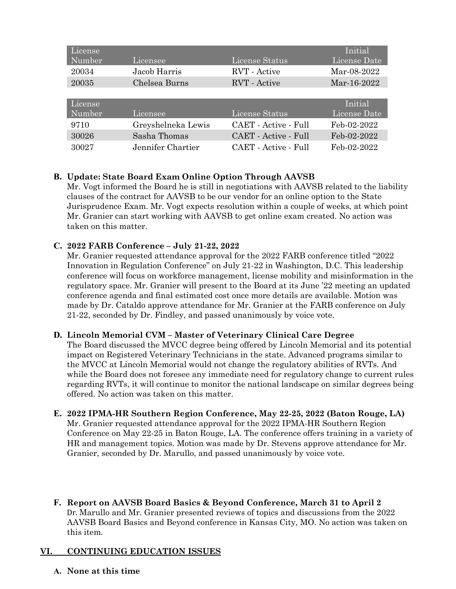| License |                    |                      | Initial      |
|---------|--------------------|----------------------|--------------|
| Number  | Licensee           | License Status       | License Date |
| 20034   | Jacob Harris       | <b>RVT</b> - Active  | Mar-08-2022  |
| 20035   | Chelsea Burns      | RVT - Active         | Mar-16-2022  |
|         |                    |                      |              |
|         |                    |                      |              |
| License |                    |                      | Initial      |
| Number  | Licensee           | License Status       | License Date |
| 9710    | Greyshelneka Lewis | CAET - Active - Full | Feb-02-2022  |
| 30026   | Sasha Thomas       | CAET - Active - Full | Feb-02-2022  |

### **B. Update: State Board Exam Online Option Through AAVSB**

Mr. Vogt informed the Board he is still in negotiations with AAVSB related to the liability clauses of the contract for AAVSB to be our vendor for an online option to the State Jurisprudence Exam. Mr. Vogt expects resolution within a couple of weeks, at which point Mr. Granier can start working with AAVSB to get online exam created. No action was taken on this matter.

#### **C. 2022 FARB Conference – July 21-22, 2022**

Mr. Granier requested attendance approval for the 2022 FARB conference titled "2022 Innovation in Regulation Conference" on July 21-22 in Washington, D.C. This leadership conference will focus on workforce management, license mobility and misinformation in the regulatory space. Mr. Granier will present to the Board at its June '22 meeting an updated conference agenda and final estimated cost once more details are available. Motion was made by Dr. Cataldo approve attendance for Mr. Granier at the FARB conference on July 21-22, seconded by Dr. Findley, and passed unanimously by voice vote.

#### **D. Lincoln Memorial CVM – Master of Veterinary Clinical Care Degree**

The Board discussed the MVCC degree being offered by Lincoln Memorial and its potential impact on Registered Veterinary Technicians in the state. Advanced programs similar to the MVCC at Lincoln Memorial would not change the regulatory abilities of RVTs. And while the Board does not foresee any immediate need for regulatory change to current rules regarding RVTs, it will continue to monitor the national landscape on similar degrees being offered. No action was taken on this matter.

#### **E. 2022 IPMA-HR Southern Region Conference, May 22-25, 2022 (Baton Rouge, LA)**

Mr. Granier requested attendance approval for the 2022 IPMA-HR Southern Region Conference on May 22-25 in Baton Rouge, LA. The conference offers training in a variety of HR and management topics. Motion was made by Dr. Stevens approve attendance for Mr. Granier, seconded by Dr. Marullo, and passed unanimously by voice vote.

**F. Report on AAVSB Board Basics & Beyond Conference, March 31 to April 2** Dr. Marullo and Mr. Granier presented reviews of topics and discussions from the 2022 AAVSB Board Basics and Beyond conference in Kansas City, MO. No action was taken on this item.

#### **VI. CONTINUING EDUCATION ISSUES**

**A. None at this time**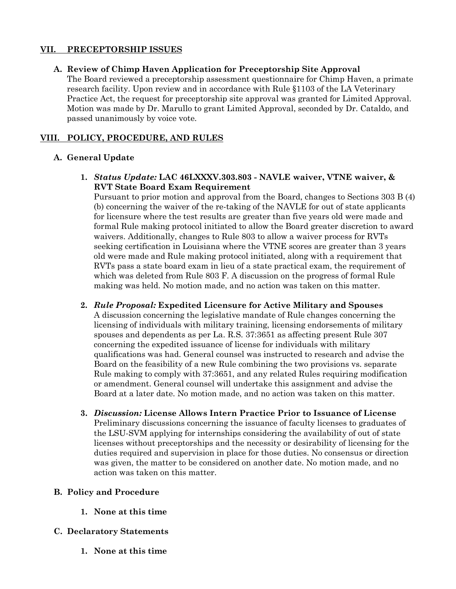#### **VII. PRECEPTORSHIP ISSUES**

#### **A. Review of Chimp Haven Application for Preceptorship Site Approval**

The Board reviewed a preceptorship assessment questionnaire for Chimp Haven, a primate research facility. Upon review and in accordance with Rule §1103 of the LA Veterinary Practice Act, the request for preceptorship site approval was granted for Limited Approval. Motion was made by Dr. Marullo to grant Limited Approval, seconded by Dr. Cataldo, and passed unanimously by voice vote.

### **VIII. POLICY, PROCEDURE, AND RULES**

#### **A. General Update**

**1.** *Status Update:* **LAC 46LXXXV.303.803 - NAVLE waiver, VTNE waiver, & RVT State Board Exam Requirement** 

Pursuant to prior motion and approval from the Board, changes to Sections 303 B (4) (b) concerning the waiver of the re-taking of the NAVLE for out of state applicants for licensure where the test results are greater than five years old were made and formal Rule making protocol initiated to allow the Board greater discretion to award waivers. Additionally, changes to Rule 803 to allow a waiver process for RVTs seeking certification in Louisiana where the VTNE scores are greater than 3 years old were made and Rule making protocol initiated, along with a requirement that RVTs pass a state board exam in lieu of a state practical exam, the requirement of which was deleted from Rule 803 F. A discussion on the progress of formal Rule making was held. No motion made, and no action was taken on this matter.

**2.** *Rule Proposal:* **Expedited Licensure for Active Military and Spouses**

A discussion concerning the legislative mandate of Rule changes concerning the licensing of individuals with military training, licensing endorsements of military spouses and dependents as per La. R.S. 37:3651 as affecting present Rule 307 concerning the expedited issuance of license for individuals with military qualifications was had. General counsel was instructed to research and advise the Board on the feasibility of a new Rule combining the two provisions vs. separate Rule making to comply with 37:3651, and any related Rules requiring modification or amendment. General counsel will undertake this assignment and advise the Board at a later date. No motion made, and no action was taken on this matter.

**3.** *Discussion:* **License Allows Intern Practice Prior to Issuance of License**  Preliminary discussions concerning the issuance of faculty licenses to graduates of the LSU-SVM applying for internships considering the availability of out of state licenses without preceptorships and the necessity or desirability of licensing for the duties required and supervision in place for those duties. No consensus or direction was given, the matter to be considered on another date. No motion made, and no action was taken on this matter.

#### **B. Policy and Procedure**

- **1. None at this time**
- **C. Declaratory Statements**
	- **1. None at this time**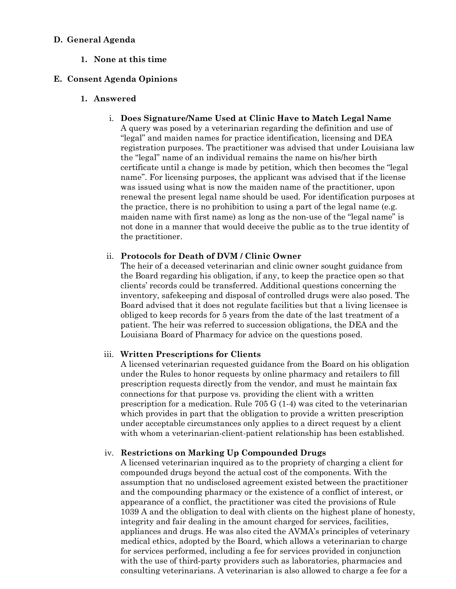#### **D. General Agenda**

**1. None at this time**

### **E. Consent Agenda Opinions**

- **1. Answered**
	- i. **Does Signature/Name Used at Clinic Have to Match Legal Name**

A query was posed by a veterinarian regarding the definition and use of "legal" and maiden names for practice identification, licensing and DEA registration purposes. The practitioner was advised that under Louisiana law the "legal" name of an individual remains the name on his/her birth certificate until a change is made by petition, which then becomes the "legal name". For licensing purposes, the applicant was advised that if the license was issued using what is now the maiden name of the practitioner, upon renewal the present legal name should be used. For identification purposes at the practice, there is no prohibition to using a part of the legal name (e.g. maiden name with first name) as long as the non-use of the "legal name" is not done in a manner that would deceive the public as to the true identity of the practitioner.

#### ii. **Protocols for Death of DVM / Clinic Owner**

The heir of a deceased veterinarian and clinic owner sought guidance from the Board regarding his obligation, if any, to keep the practice open so that clients' records could be transferred. Additional questions concerning the inventory, safekeeping and disposal of controlled drugs were also posed. The Board advised that it does not regulate facilities but that a living licensee is obliged to keep records for 5 years from the date of the last treatment of a patient. The heir was referred to succession obligations, the DEA and the Louisiana Board of Pharmacy for advice on the questions posed.

#### iii. **Written Prescriptions for Clients**

A licensed veterinarian requested guidance from the Board on his obligation under the Rules to honor requests by online pharmacy and retailers to fill prescription requests directly from the vendor, and must he maintain fax connections for that purpose vs. providing the client with a written prescription for a medication. Rule 705 G (1-4) was cited to the veterinarian which provides in part that the obligation to provide a written prescription under acceptable circumstances only applies to a direct request by a client with whom a veterinarian-client-patient relationship has been established.

#### iv. **Restrictions on Marking Up Compounded Drugs**

A licensed veterinarian inquired as to the propriety of charging a client for compounded drugs beyond the actual cost of the components. With the assumption that no undisclosed agreement existed between the practitioner and the compounding pharmacy or the existence of a conflict of interest, or appearance of a conflict, the practitioner was cited the provisions of Rule 1039 A and the obligation to deal with clients on the highest plane of honesty, integrity and fair dealing in the amount charged for services, facilities, appliances and drugs. He was also cited the AVMA's principles of veterinary medical ethics, adopted by the Board, which allows a veterinarian to charge for services performed, including a fee for services provided in conjunction with the use of third-party providers such as laboratories, pharmacies and consulting veterinarians. A veterinarian is also allowed to charge a fee for a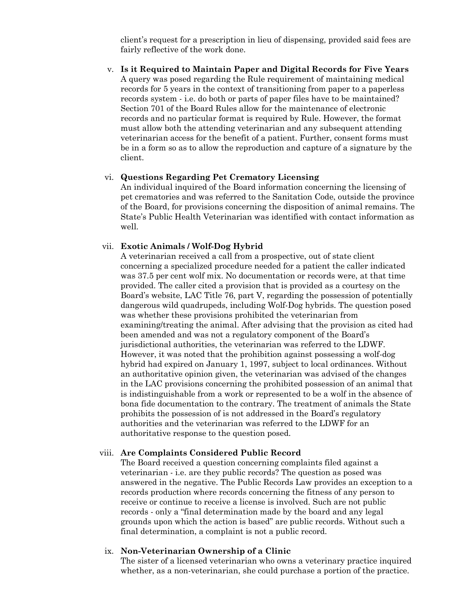client's request for a prescription in lieu of dispensing, provided said fees are fairly reflective of the work done.

v. **Is it Required to Maintain Paper and Digital Records for Five Years** A query was posed regarding the Rule requirement of maintaining medical records for 5 years in the context of transitioning from paper to a paperless records system - i.e. do both or parts of paper files have to be maintained? Section 701 of the Board Rules allow for the maintenance of electronic records and no particular format is required by Rule. However, the format must allow both the attending veterinarian and any subsequent attending veterinarian access for the benefit of a patient. Further, consent forms must be in a form so as to allow the reproduction and capture of a signature by the client.

#### vi. **Questions Regarding Pet Crematory Licensing**

An individual inquired of the Board information concerning the licensing of pet crematories and was referred to the Sanitation Code, outside the province of the Board, for provisions concerning the disposition of animal remains. The State's Public Health Veterinarian was identified with contact information as well.

#### vii. **Exotic Animals / Wolf-Dog Hybrid**

A veterinarian received a call from a prospective, out of state client concerning a specialized procedure needed for a patient the caller indicated was 37.5 per cent wolf mix. No documentation or records were, at that time provided. The caller cited a provision that is provided as a courtesy on the Board's website, LAC Title 76, part V, regarding the possession of potentially dangerous wild quadrupeds, including Wolf-Dog hybrids. The question posed was whether these provisions prohibited the veterinarian from examining/treating the animal. After advising that the provision as cited had been amended and was not a regulatory component of the Board's jurisdictional authorities, the veterinarian was referred to the LDWF. However, it was noted that the prohibition against possessing a wolf-dog hybrid had expired on January 1, 1997, subject to local ordinances. Without an authoritative opinion given, the veterinarian was advised of the changes in the LAC provisions concerning the prohibited possession of an animal that is indistinguishable from a work or represented to be a wolf in the absence of bona fide documentation to the contrary. The treatment of animals the State prohibits the possession of is not addressed in the Board's regulatory authorities and the veterinarian was referred to the LDWF for an authoritative response to the question posed.

#### viii. **Are Complaints Considered Public Record**

The Board received a question concerning complaints filed against a veterinarian - i.e. are they public records? The question as posed was answered in the negative. The Public Records Law provides an exception to a records production where records concerning the fitness of any person to receive or continue to receive a license is involved. Such are not public records - only a "final determination made by the board and any legal grounds upon which the action is based" are public records. Without such a final determination, a complaint is not a public record.

#### ix. **Non-Veterinarian Ownership of a Clinic**

The sister of a licensed veterinarian who owns a veterinary practice inquired whether, as a non-veterinarian, she could purchase a portion of the practice.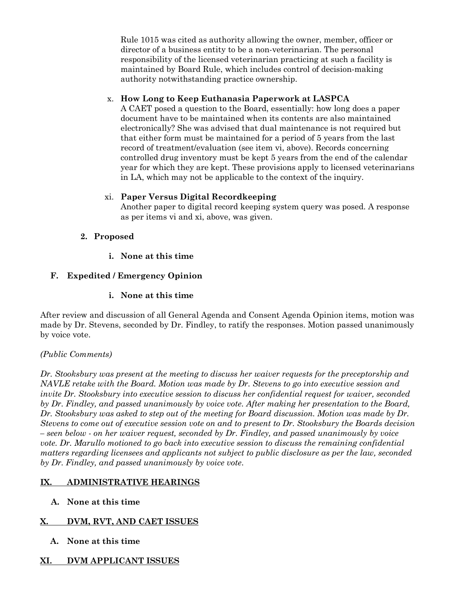Rule 1015 was cited as authority allowing the owner, member, officer or director of a business entity to be a non-veterinarian. The personal responsibility of the licensed veterinarian practicing at such a facility is maintained by Board Rule, which includes control of decision-making authority notwithstanding practice ownership.

## x. **How Long to Keep Euthanasia Paperwork at LASPCA**

A CAET posed a question to the Board, essentially: how long does a paper document have to be maintained when its contents are also maintained electronically? She was advised that dual maintenance is not required but that either form must be maintained for a period of 5 years from the last record of treatment/evaluation (see item vi, above). Records concerning controlled drug inventory must be kept 5 years from the end of the calendar year for which they are kept. These provisions apply to licensed veterinarians in LA, which may not be applicable to the context of the inquiry.

### xi. **Paper Versus Digital Recordkeeping**

Another paper to digital record keeping system query was posed. A response as per items vi and xi, above, was given.

## **2. Proposed**

## **i. None at this time**

## **F. Expedited / Emergency Opinion**

## **i. None at this time**

After review and discussion of all General Agenda and Consent Agenda Opinion items, motion was made by Dr. Stevens, seconded by Dr. Findley, to ratify the responses. Motion passed unanimously by voice vote.

### *(Public Comments)*

*Dr. Stooksbury was present at the meeting to discuss her waiver requests for the preceptorship and NAVLE retake with the Board. Motion was made by Dr. Stevens to go into executive session and invite Dr. Stooksbury into executive session to discuss her confidential request for waiver, seconded by Dr. Findley, and passed unanimously by voice vote. After making her presentation to the Board, Dr. Stooksbury was asked to step out of the meeting for Board discussion. Motion was made by Dr. Stevens to come out of executive session vote on and to present to Dr. Stooksbury the Boards decision – seen below - on her waiver request, seconded by Dr. Findley, and passed unanimously by voice vote. Dr. Marullo motioned to go back into executive session to discuss the remaining confidential matters regarding licensees and applicants not subject to public disclosure as per the law, seconded by Dr. Findley, and passed unanimously by voice vote*.

## **IX. ADMINISTRATIVE HEARINGS**

**A. None at this time**

## **X. DVM, RVT, AND CAET ISSUES**

**A. None at this time** 

# **XI. DVM APPLICANT ISSUES**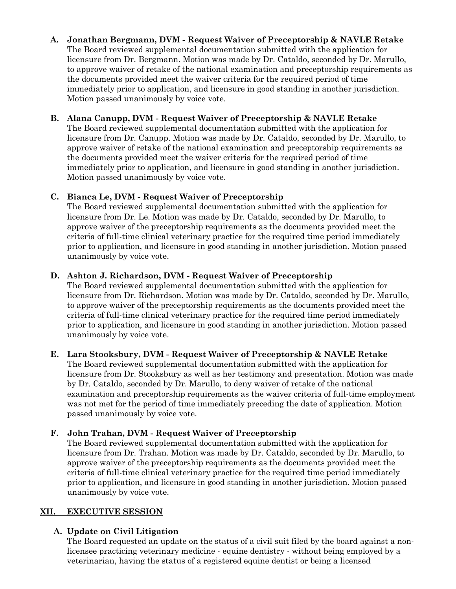### **A. Jonathan Bergmann, DVM - Request Waiver of Preceptorship & NAVLE Retake**

The Board reviewed supplemental documentation submitted with the application for licensure from Dr. Bergmann. Motion was made by Dr. Cataldo, seconded by Dr. Marullo, to approve waiver of retake of the national examination and preceptorship requirements as the documents provided meet the waiver criteria for the required period of time immediately prior to application, and licensure in good standing in another jurisdiction. Motion passed unanimously by voice vote.

### **B. Alana Canupp, DVM - Request Waiver of Preceptorship & NAVLE Retake**

The Board reviewed supplemental documentation submitted with the application for licensure from Dr. Canupp. Motion was made by Dr. Cataldo, seconded by Dr. Marullo, to approve waiver of retake of the national examination and preceptorship requirements as the documents provided meet the waiver criteria for the required period of time immediately prior to application, and licensure in good standing in another jurisdiction. Motion passed unanimously by voice vote.

### **C. Bianca Le, DVM - Request Waiver of Preceptorship**

The Board reviewed supplemental documentation submitted with the application for licensure from Dr. Le. Motion was made by Dr. Cataldo, seconded by Dr. Marullo, to approve waiver of the preceptorship requirements as the documents provided meet the criteria of full-time clinical veterinary practice for the required time period immediately prior to application, and licensure in good standing in another jurisdiction. Motion passed unanimously by voice vote.

### **D. Ashton J. Richardson, DVM - Request Waiver of Preceptorship**

The Board reviewed supplemental documentation submitted with the application for licensure from Dr. Richardson. Motion was made by Dr. Cataldo, seconded by Dr. Marullo, to approve waiver of the preceptorship requirements as the documents provided meet the criteria of full-time clinical veterinary practice for the required time period immediately prior to application, and licensure in good standing in another jurisdiction. Motion passed unanimously by voice vote.

#### **E. Lara Stooksbury, DVM - Request Waiver of Preceptorship & NAVLE Retake**

The Board reviewed supplemental documentation submitted with the application for licensure from Dr. Stooksbury as well as her testimony and presentation. Motion was made by Dr. Cataldo, seconded by Dr. Marullo, to deny waiver of retake of the national examination and preceptorship requirements as the waiver criteria of full-time employment was not met for the period of time immediately preceding the date of application. Motion passed unanimously by voice vote.

### **F. John Trahan, DVM - Request Waiver of Preceptorship**

The Board reviewed supplemental documentation submitted with the application for licensure from Dr. Trahan. Motion was made by Dr. Cataldo, seconded by Dr. Marullo, to approve waiver of the preceptorship requirements as the documents provided meet the criteria of full-time clinical veterinary practice for the required time period immediately prior to application, and licensure in good standing in another jurisdiction. Motion passed unanimously by voice vote.

### **XII. EXECUTIVE SESSION**

### **A. Update on Civil Litigation**

The Board requested an update on the status of a civil suit filed by the board against a nonlicensee practicing veterinary medicine - equine dentistry - without being employed by a veterinarian, having the status of a registered equine dentist or being a licensed